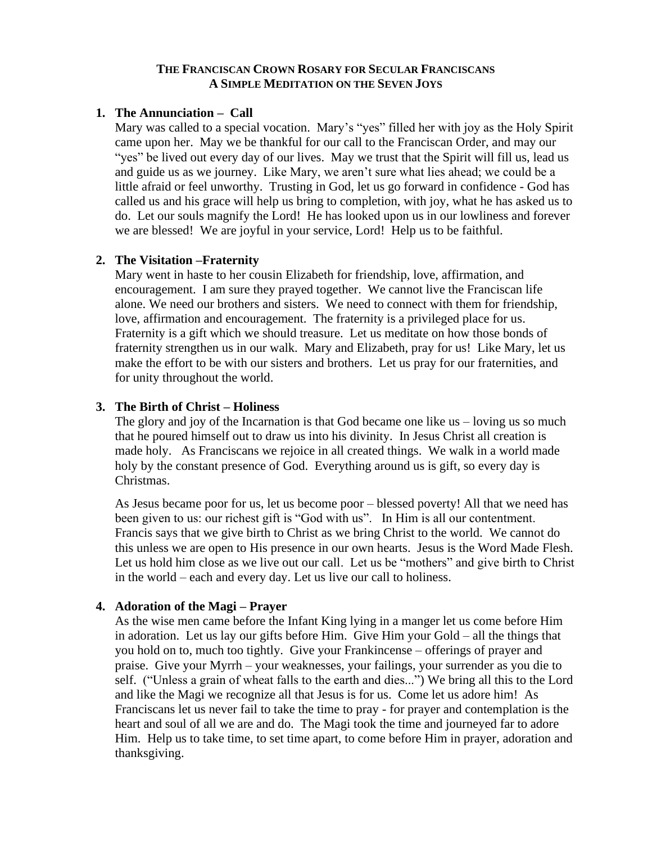## **THE FRANCISCAN CROWN ROSARY FOR SECULAR FRANCISCANS A SIMPLE MEDITATION ON THE SEVEN JOYS**

### **1. The Annunciation – Call**

Mary was called to a special vocation. Mary's "yes" filled her with joy as the Holy Spirit came upon her. May we be thankful for our call to the Franciscan Order, and may our "yes" be lived out every day of our lives. May we trust that the Spirit will fill us, lead us and guide us as we journey. Like Mary, we aren't sure what lies ahead; we could be a little afraid or feel unworthy. Trusting in God, let us go forward in confidence - God has called us and his grace will help us bring to completion, with joy, what he has asked us to do. Let our souls magnify the Lord! He has looked upon us in our lowliness and forever we are blessed! We are joyful in your service, Lord! Help us to be faithful.

## **2. The Visitation –Fraternity**

Mary went in haste to her cousin Elizabeth for friendship, love, affirmation, and encouragement. I am sure they prayed together. We cannot live the Franciscan life alone. We need our brothers and sisters. We need to connect with them for friendship, love, affirmation and encouragement. The fraternity is a privileged place for us. Fraternity is a gift which we should treasure. Let us meditate on how those bonds of fraternity strengthen us in our walk. Mary and Elizabeth, pray for us! Like Mary, let us make the effort to be with our sisters and brothers. Let us pray for our fraternities, and for unity throughout the world.

## **3. The Birth of Christ – Holiness**

The glory and joy of the Incarnation is that God became one like us – loving us so much that he poured himself out to draw us into his divinity. In Jesus Christ all creation is made holy. As Franciscans we rejoice in all created things. We walk in a world made holy by the constant presence of God. Everything around us is gift, so every day is Christmas.

As Jesus became poor for us, let us become poor – blessed poverty! All that we need has been given to us: our richest gift is "God with us". In Him is all our contentment. Francis says that we give birth to Christ as we bring Christ to the world. We cannot do this unless we are open to His presence in our own hearts. Jesus is the Word Made Flesh. Let us hold him close as we live out our call. Let us be "mothers" and give birth to Christ in the world – each and every day. Let us live our call to holiness.

#### **4. Adoration of the Magi – Prayer**

As the wise men came before the Infant King lying in a manger let us come before Him in adoration. Let us lay our gifts before Him. Give Him your Gold – all the things that you hold on to, much too tightly. Give your Frankincense – offerings of prayer and praise. Give your Myrrh – your weaknesses, your failings, your surrender as you die to self. ("Unless a grain of wheat falls to the earth and dies...") We bring all this to the Lord and like the Magi we recognize all that Jesus is for us. Come let us adore him! As Franciscans let us never fail to take the time to pray - for prayer and contemplation is the heart and soul of all we are and do. The Magi took the time and journeyed far to adore Him. Help us to take time, to set time apart, to come before Him in prayer, adoration and thanksgiving.